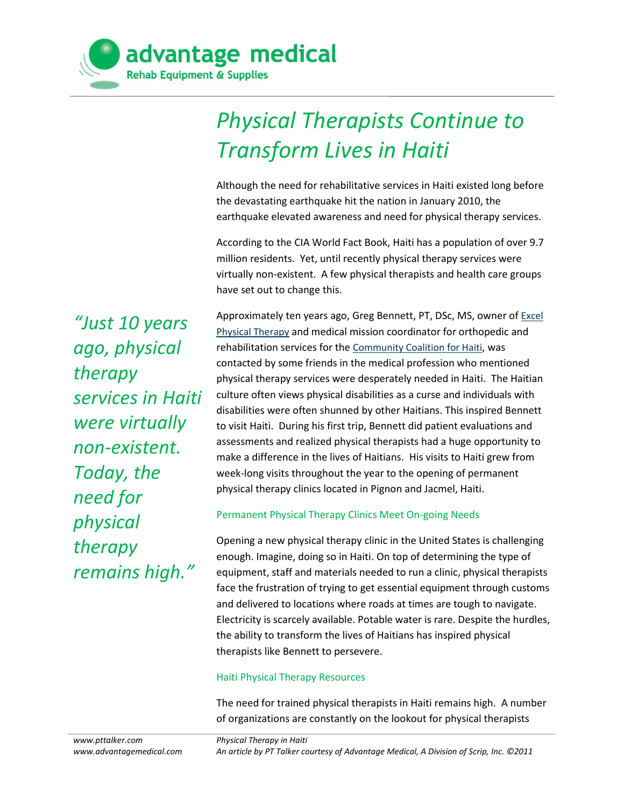

# *Physical Therapists Continue to Transform Lives in Haiti*

Although the need for rehabilitative services in Haiti existed long before the devastating earthquake hit the nation in January 2010, the earthquake elevated awareness and need for physical therapy services.

According to the CIA World Fact Book, Haiti has a population of over 9.7 million residents. Yet, until recently physical therapy services were virtually non-existent. A few physical therapists and health care groups have set out to change this.

*"Just 10 years ago, physical therapy services in Haiti were virtually non-existent. Today, the need for physical therapy remains high."*

Approximately ten years ago, Greg Bennett, PT, DSc, MS, owner of **Excel** [Physical Therapy](http://www.excelrehabva.com/index.html) and medical mission coordinator for orthopedic and rehabilitation services for the [Community Coalition for Haiti](http://www.cchaiti.org/), was contacted by some friends in the medical profession who mentioned physical therapy services were desperately needed in Haiti. The Haitian culture often views physical disabilities as a curse and individuals with disabilities were often shunned by other Haitians. This inspired Bennett to visit Haiti. During his first trip, Bennett did patient evaluations and assessments and realized physical therapists had a huge opportunity to make a difference in the lives of Haitians. His visits to Haiti grew from week-long visits throughout the year to the opening of permanent physical therapy clinics located in Pignon and Jacmel, Haiti.

#### Permanent Physical Therapy Clinics Meet On-going Needs

Opening a new physical therapy clinic in the United States is challenging enough. Imagine, doing so in Haiti. On top of determining the type of equipment, staff and materials needed to run a clinic, physical therapists face the frustration of trying to get essential equipment through customs and delivered to locations where roads at times are tough to navigate. Electricity is scarcely available. Potable water is rare. Despite the hurdles, the ability to transform the lives of Haitians has inspired physical therapists like Bennett to persevere.

#### Haiti Physical Therapy Resources

The need for trained physical therapists in Haiti remains high. A number of organizations are constantly on the lookout for physical therapists

*Physical Therapy in Haiti An article by PT Talker courtesy of Advantage Medical, A Division of Scrip, Inc. ©2011*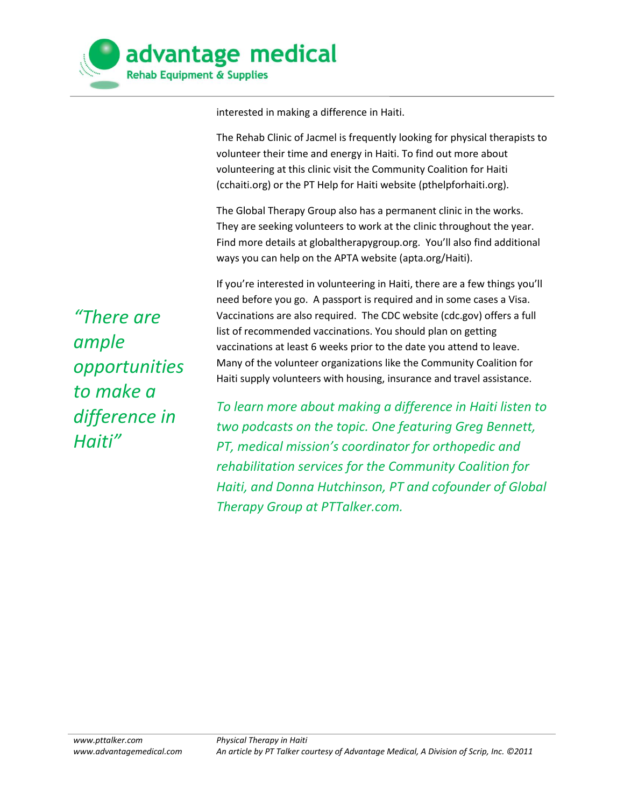

interested in making a difference in Haiti.

The Rehab Clinic of Jacmel is frequently looking for physical therapists to volunteer their time and energy in Haiti. To find out more about volunteering at this clinic visit the Community Coalition for Haiti (cchaiti.org) or the PT Help for Haiti website (pthelpforhaiti.org).

The Global Therapy Group also has a permanent clinic in the works. They are seeking volunteers to work at the clinic throughout the year. Find more details at globaltherapygroup.org. You'll also find additional ways you can help on the APTA website (apta.org/Haiti).

If you're interested in volunteering in Haiti, there are a few things you'll need before you go. A passport is required and in some cases a Visa. Vaccinations are also required. The CDC website (cdc.gov) offers a full list of recommended vaccinations. You should plan on getting vaccinations at least 6 weeks prior to the date you attend to leave. Many of the volunteer organizations like the Community Coalition for Haiti supply volunteers with housing, insurance and travel assistance.

*To learn more about making a difference in Haiti listen to two podcasts on the topic. One featuring Greg Bennett, PT, medical mission's coordinator for orthopedic and rehabilitation services for the Community Coalition for Haiti, and Donna Hutchinson, PT and cofounder of Global Therapy Group at PTTalker.com.*

*"There are ample opportunities to make a difference in Haiti"*